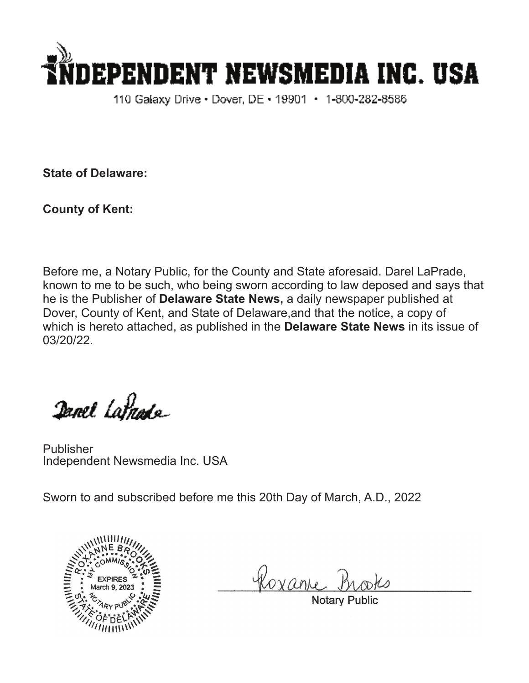

110 Galaxy Drive • Dover, DE • 19901 • 1-800-282-8586

**State of Delaware:**

**County of Kent:**

Before me, a Notary Public, for the County and State aforesaid. Darel LaPrade, known to me to be such, who being sworn according to law deposed and says that he is the Publisher of **Delaware State News,** a daily newspaper published at Dover, County of Kent, and State of Delaware,and that the notice, a copy of which is hereto attached, as published in the **Delaware State News** in its issue of 03/20/22.

Danel Latnade

Publisher Independent Newsmedia Inc. USA

Sworn to and subscribed before me this 20th Day of March, A.D., 2022



Roxan

Notary Pub